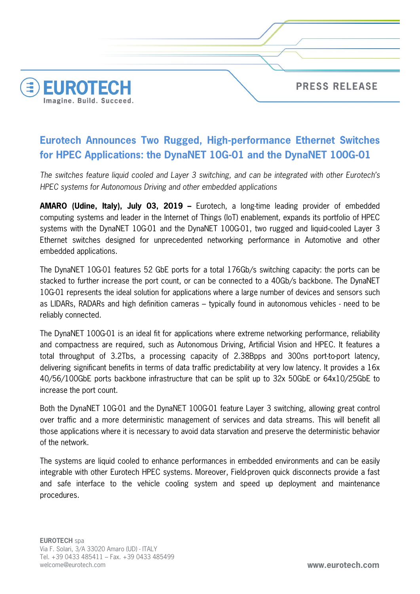

## **Eurotech Announces Two Rugged, High-performance Ethernet Switches for HPEC Applications: the DynaNET 10G-01 and the DynaNET 100G-01**

*The switches feature liquid cooled and Layer 3 switching, and can be integrated with other Eurotech's HPEC systems for Autonomous Driving and other embedded applications* 

**AMARO (Udine, Italy), July 03, 2019 –** Eurotech, a long-time leading provider of embedded computing systems and leader in the Internet of Things (IoT) enablement, expands its portfolio of HPEC systems with the DynaNET 10G-01 and the DynaNET 100G-01, two rugged and liquid-cooled Layer 3 Ethernet switches designed for unprecedented networking performance in Automotive and other embedded applications.

The DynaNET 10G-01 features 52 GbE ports for a total 176Gb/s switching capacity: the ports can be stacked to further increase the port count, or can be connected to a 40Gb/s backbone. The DynaNET 10G-01 represents the ideal solution for applications where a large number of devices and sensors such as LIDARs, RADARs and high definition cameras – typically found in autonomous vehicles - need to be reliably connected.

The DynaNET 100G-01 is an ideal fit for applications where extreme networking performance, reliability and compactness are required, such as Autonomous Driving, Artificial Vision and HPEC. It features a total throughput of 3.2Tbs, a processing capacity of 2.38Bpps and 300ns port-to-port latency, delivering significant benefits in terms of data traffic predictability at very low latency. It provides a 16x 40/56/100GbE ports backbone infrastructure that can be split up to 32x 50GbE or 64x10/25GbE to increase the port count.

Both the DynaNET 10G-01 and the DynaNET 100G-01 feature Layer 3 switching, allowing great control over traffic and a more deterministic management of services and data streams. This will benefit all those applications where it is necessary to avoid data starvation and preserve the deterministic behavior of the network.

The systems are liquid cooled to enhance performances in embedded environments and can be easily integrable with other Eurotech HPEC systems. Moreover, Field-proven quick disconnects provide a fast and safe interface to the vehicle cooling system and speed up deployment and maintenance procedures.